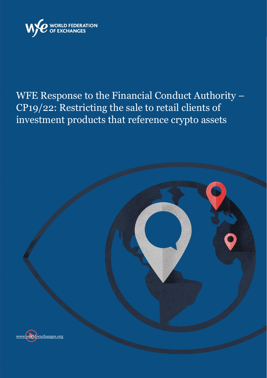

# WFE Response to the Financial Conduct Authority – CP19/22: Restricting the sale to retail clients of investment products that reference crypto assets

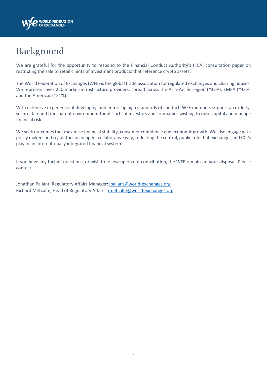

### Background

We are grateful for the opportunity to respond to the Financial Conduct Authority's (FCA) consultation paper on restricting the sale to retail clients of investment products that reference crypto assets.

The World Federation of Exchanges (WFE) is the global trade association for regulated exchanges and clearing houses. We represent over 250 market-infrastructure providers, spread across the Asia-Pacific region (~37%), EMEA (~43%) and the Americas (~21%).

With extensive experience of developing and enforcing high standards of conduct, WFE members support an orderly, secure, fair and transparent environment for all sorts of investors and companies wishing to raise capital and manage financial risk.

We seek outcomes that maximise financial stability, consumer confidence and economic growth. We also engage with policy makers and regulators in an open, collaborative way, reflecting the central, public role that exchanges and CCPs play in an internationally integrated financial system.

If you have any further questions, or wish to follow-up on our contribution, the WFE remains at your disposal. Please contact:

Jonathan Pallant, Regulatory Affairs Manager[: jpallant@world-exchanges.org](mailto:jpallant@world-exchanges.org) Richard Metcalfe, Head of Regulatory Affairs: [rmetcalfe@world-exchanges.org](mailto:rmetcalfe@world-exchanges.org)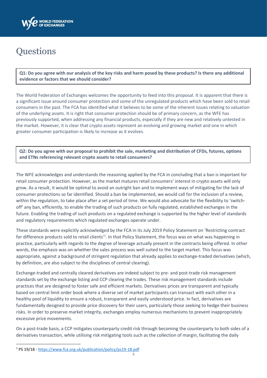

## **Questions**

**Q1: Do you agree with our analysis of the key risks and harm posed by these products? Is there any additional evidence or factors that we should consider?**

The World Federation of Exchanges welcomes the opportunity to feed into this proposal. It is apparent that there is a significant issue around consumer protection and some of the unregulated products which have been sold to retail consumers in the past. The FCA has identified what it believes to be some of the inherent issues relating to valuation of the underlying assets. It is right that consumer protection should be of primary concern, as the WFE has previously supported, when addressing any financial products, especially if they are new and relatively untested in the market. However, it is clear that crypto assets represent an evolving and growing market and one in which greater consumer participation is likely to increase as it evolves.

**Q2: Do you agree with our proposal to prohibit the sale, marketing and distribution of CFDs, futures, options and ETNs referencing relevant crypto assets to retail consumers?**

The WFE acknowledges and understands the reasoning applied by the FCA in concluding that a ban is important for retail consumer protection. However, as the market matures retail consumers' interest in crypto assets will only grow. As a result, it would be optimal to avoid an outright ban and to implement ways of mitigating for the lack of consumer protections so far identified. Should a ban be implemented, we would call for the inclusion of a review, within the regulation, to take place after a set period of time. We would also advocate for the flexibility to 'switchoff' any ban, efficiently, to enable the trading of such products on fully regulated, established exchanges in the future. Enabling the trading of such products on a regulated exchange is supported by the higher level of standards and regulatory requirements which regulated exchanges operate under.

These standards were explicitly acknowledged by the FCA in its July 2019 Policy Statement on 'Restricting contract for difference products sold to retail clients<sup>1</sup>. In that Policy Statement, the focus was on what was happening in practice, particularly with regards to the degree of leverage actually present in the contracts being offered. In other words, the emphasis was on whether the sales process was well suited to the target market. This focus was appropriate, against a background of stringent regulation that already applies to exchange-traded derivatives (which, by definition, are also subject to the disciplines of central clearing).

Exchange-traded and centrally cleared derivatives are indeed subject to pre- and post-trade risk management standards set by the exchange listing and CCP clearing the trades. These risk management standards include practices that are designed to foster safe and efficient markets. Derivatives prices are transparent and typically based on central limit order book where a diverse set of market participants can transact with each other in a healthy pool of liquidity to ensure a robust, transparent and easily understood price. In fact, derivatives are fundamentally designed to provide price discovery for their users, particularly those seeking to hedge their business risks. In order to preserve market integrity, exchanges employ numerous mechanisms to prevent inappropriately excessive price movements.

On a post-trade basis, a CCP mitigates counterparty credit risk through becoming the counterparty to both sides of a derivatives transaction, while utilising risk mitigating tools such as the collection of margin, facilitating the daily

<sup>1</sup> PS 19/18 - <https://www.fca.org.uk/publication/policy/ps19-18.pdf>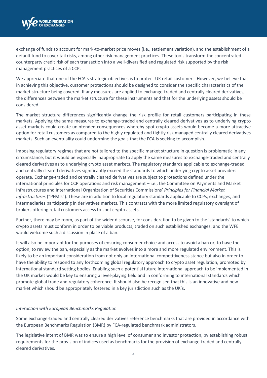

exchange of funds to account for mark-to-market price moves (i.e., settlement variation), and the establishment of a default fund to cover tail risks, among other risk management practices. These tools transform the concentrated counterparty credit risk of each transaction into a well-diversified and regulated risk supported by the risk management practices of a CCP.

We appreciate that one of the FCA's strategic objectives is to protect UK retail customers. However, we believe that in achieving this objective, customer protections should be designed to consider the specific characteristics of the market structure being covered. If any measures are applied to exchange-traded and centrally cleared derivatives, the differences between the market structure for these instruments and that for the underlying assets should be considered.

The market structure differences significantly change the risk profile for retail customers participating in these markets. Applying the same measures to exchange-traded and centrally cleared derivatives as to underlying crypto asset markets could create unintended consequences whereby spot crypto assets would become a more attractive option for retail customers as compared to the highly regulated and tightly risk managed centrally cleared derivatives markets. Such an eventuality could undermine the goals that the FCA is seeking to accomplish.

Imposing regulatory regimes that are not tailored to the specific market structure in question is problematic in any circumstance, but it would be especially inappropriate to apply the same measures to exchange-traded and centrally cleared derivatives as to underlying crypto asset markets. The regulatory standards applicable to exchange-traded and centrally cleared derivatives significantly exceed the standards to which underlying crypto asset providers operate. Exchange-traded and centrally cleared derivatives are subject to protections defined under the international principles for CCP operations and risk management – i.e., the Committee on Payments and Market Infrastructures and International Organization of Securities Commissions' *Principles for Financial Market Infrastructures* ("PFMIs"). These are in addition to local regulatory standards applicable to CCPs, exchanges, and intermediaries participating in derivatives markets. This contrasts with the more limited regulatory oversight of brokers offering retail customers access to spot crypto assets.

Further, there may be room, as part of the wider discourse, for consideration to be given to the 'standards' to which crypto assets must conform in order to be viable products, traded on such established exchanges; and the WFE would welcome such a discussion in place of a ban.

It will also be important for the purposes of ensuring consumer choice and access to avoid a ban or, to have the option, to review the ban, especially as the market evolves into a more and more regulated environment. This is likely to be an important consideration from not only an international competitiveness stance but also in order to have the ability to respond to any forthcoming global regulatory approach to crypto asset regulation, promoted by international standard setting bodies. Enabling such a potential future international approach to be implemented in the UK market would be key to ensuring a level-playing field and in conforming to international standards which promote global trade and regulatory coherence. It should also be recognised that this is an innovative and new market which should be appropriately fostered in a key jurisdiction such as the UK's.

### *Interaction with European Benchmarks Regulation*

Some exchange-traded and centrally cleared derivatives reference benchmarks that are provided in accordance with the European Benchmarks Regulation (BMR) by FCA-regulated benchmark administrators.

The legislative intent of BMR was to ensure a high level of consumer and investor protection, by establishing robust requirements for the provision of indices used as benchmarks for the provision of exchange-traded and centrally cleared derivatives.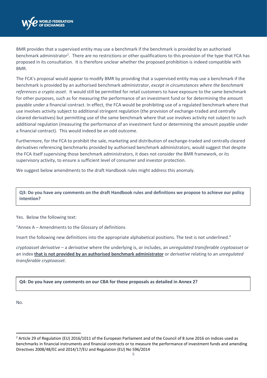

BMR provides that a supervised entity may use a benchmark if the benchmark is provided by an authorised benchmark administrator<sup>2</sup>. There are no restrictions or other qualifications to this provision of the type that FCA has proposed in its consultation. It is therefore unclear whether the proposed prohibition is indeed compatible with BMR.

The FCA's proposal would appear to modify BMR by providing that a supervised entity may use a benchmark if the benchmark is provided by an authorised benchmark administrator, *except in circumstances where the benchmark references a crypto asset*. It would still be permitted for retail customers to have exposure to the same benchmark for other purposes, such as for measuring the performance of an investment fund or for determining the amount payable under a financial contract. In effect, the FCA would be prohibiting use of a regulated benchmark where that use involves activity subject to additional stringent regulation (the provision of exchange-traded and centrally cleared derivatives) but permitting use of the same benchmark where that use involves activity not subject to such additional regulation (measuring the performance of an investment fund or determining the amount payable under a financial contract). This would indeed be an odd outcome.

Furthermore, for the FCA to prohibit the sale, marketing and distribution of exchange-traded and centrally cleared derivatives referencing benchmarks provided by authorised benchmark administrators, would suggest that despite the FCA itself supervising those benchmark administrators, it does not consider the BMR framework, or its supervisory activity, to ensure a sufficient level of consumer and investor protection.

We suggest below amendments to the draft Handbook rules might address this anomaly.

**Q3: Do you have any comments on the draft Handbook rules and definitions we propose to achieve our policy intention?**

Yes. Below the following text:

"Annex A – Amendments to the Glossary of definitions

Insert the following new definitions into the appropriate alphabetical positions. The text is not underlined."

*cryptoasset derivative –* a *derivative* where the underlying is, or includes, an *unregulated transferable cryptoasset* or an index **that is not provided by an authorised benchmark administrator** or *derivative* relating to an *unregulated transferable cryptoasset*.

### **Q4: Do you have any comments on our CBA for these proposals as detailed in Annex 2?**

No.

<sup>&</sup>lt;sup>2</sup> Article 29 of Regulation (EU) 2016/1011 of the European Parliament and of the Council of 8 June 2016 on indices used as benchmarks in financial instruments and financial contracts or to measure the performance of investment funds and amending Directives 2008/48/EC and 2014/17/EU and Regulation (EU) No 596/2014